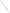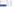#### What to Consider When You Provide Public Involvement Information and Conduct Outreach

To adequately inform the public, you should be sensitive to the community and affected groups' needs and learn the answers to these questions:

- How do they prefer to receive information?
- Which are their trusted sources?

- What is the history of this issue in the community?
- What do they already believe or know about the issue? Why?
- How widespread are community interest and knowledge of the issue?
- How long should you take to inform before you involve your stakeholders?
- What information sources does the community trust? Can you enlist their help?

Since not everyone can easily find or understand Federal Register Notices, you'll need to use the answers to the previous questions to develop and distribute information and make it available through trusted sources.

The Website for the "Internet Dialogue on Public Involvement in EPA Decisions" is http://www.network-democracy.org/epa-pip

> To build trust, always seek transparency – be clear, direct, and open in your communications and processes.

# Step 4: Provide Information and Conduct Outreach

"Go into the community and talk to people. We cannot expect to know why people seem disinterested unless we talk with them. Do they have such a low level of trust because they feel participation will be a waste of time? Are there other social and/or economic issues for this community which are simply a higher priority, such as employment? Do they feel so bombarded with information that they have simply disengaged? We don't know unless we ask."

Bruce Smith Facilitator - Nova Scotia, Canada Dialogue on Public Involvement in EPA Decisions

#### More Information about the Policy

Copies of the Policy and the Framework for implementing it are available at http://www.epa.gov/publicinvolvement/policy2003/ policy2003.pdf and http://www.epa.gov/publicinvolvement/policy2003 / framework.pdf

EPA's Response to Comments on the Draft 2000 Public Involvement Policy is available at http://www.epa.gov/public involvement/policy2003/response.pdf

How to Provide Information and Conduct Outreach



- Understand the audience
- Outline the process
- Communicate strategically
- Find community contacts

Involvement brings the pieces together



#### Goal:

- Provide the public with access to accurate, understandable, pertinent, and timely information to facilitate effective involvement in Agency decision-making processes

The U.S. Environmental Protection Agency (EPA) issued its new Public Involvement Policy in June 2003. The Policy's overall goal is for excellent public involvement to become an integral part of EPA's culture, thus supporting more effective Agency decisions and actions.

The Policy provides guidance to EPA managers and staff on how you can better involve the public in the Agency's decision making. The Policy outlines seven steps to effective involvement. This brochure (one in a series) offers suggestions to help you "get started" providing information and conducting outreach for your public involvement activities and processes.

#### Why Provide Information and Conduct Outreach?

EPA seeks to give communities accurate information early, often, and in accessible places so that they can contribute effectively to EPA decision-making processes. Without clearly understanding the scientific and legal basis for EPA's decisions, most people will have difficulty fully engaging.

"Helping the community understand the EPA process is as important as helping them understand the specific project features. It is important to educate the community about the expected process and what type of information is needed from them and how/when they can/should participate."

Eileen Ringnalda Dialogue on Public Involvement in EPA Decisions

"Involvement brings the pieces together" artwork is the creation of Erica Ann Turner, who contributed the work through an agreement between the Art Institute of Washington and EPA.

United States Environmental Protection Agency National Center for Environmental Innovation Public Involvement Staff 1200 Pennsylvania Avenue, NW 1807T Washington, DC 20460



### Information for the Public